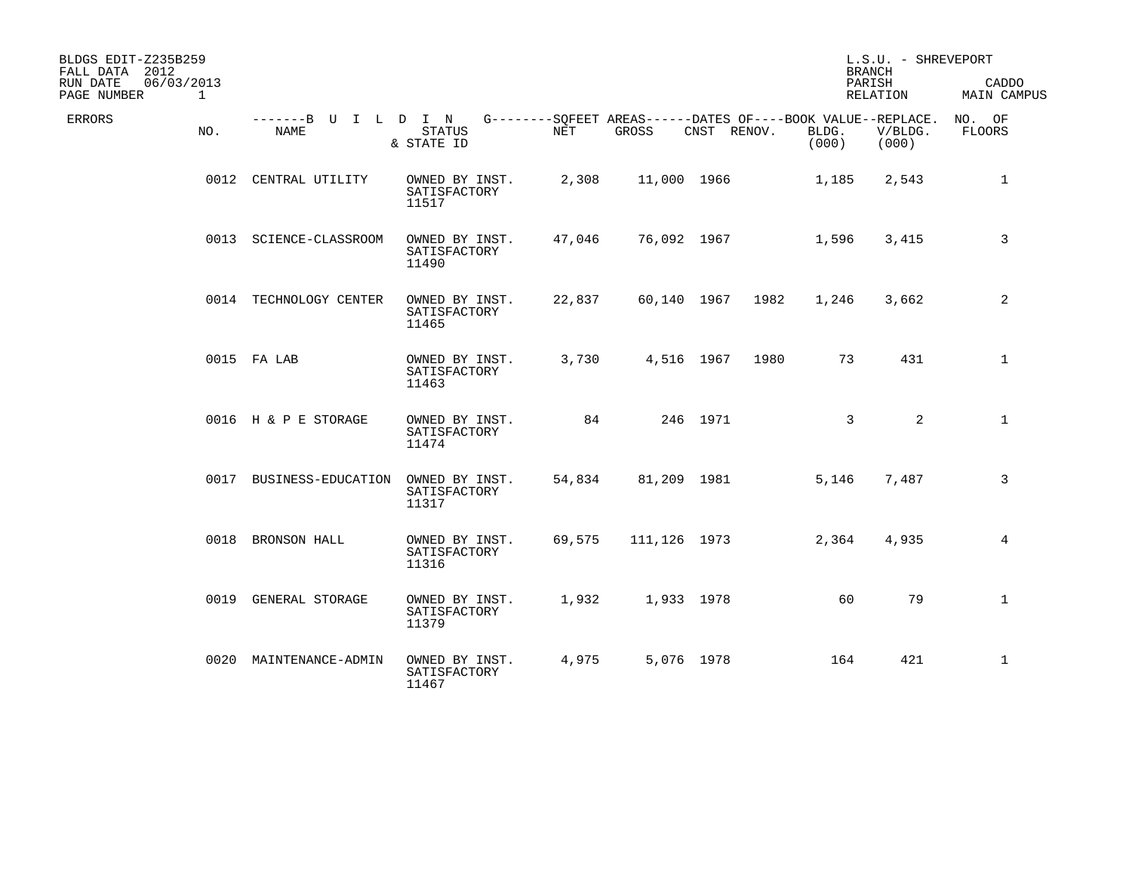| BLDGS EDIT-Z235B259<br>FALL DATA 2012<br>RUN DATE<br>PAGE NUMBER | 06/03/2013<br>$\mathbf{1}$ |                                     |                                         |            |                                                                      |             |      |                | L.S.U. - SHREVEPORT<br><b>BRANCH</b><br>PARISH<br>RELATION | CADDO<br><b>MAIN CAMPUS</b> |
|------------------------------------------------------------------|----------------------------|-------------------------------------|-----------------------------------------|------------|----------------------------------------------------------------------|-------------|------|----------------|------------------------------------------------------------|-----------------------------|
| <b>ERRORS</b>                                                    | NO.                        | -------B U I L D I N<br><b>NAME</b> | <b>STATUS</b><br>& STATE ID             | <b>NET</b> | G--------SOFEET AREAS------DATES OF----BOOK VALUE--REPLACE.<br>GROSS | CNST RENOV. |      | BLDG.<br>(000) | V/BLDG.<br>(000)                                           | NO. OF<br>FLOORS            |
|                                                                  |                            | 0012 CENTRAL UTILITY                | OWNED BY INST.<br>SATISFACTORY<br>11517 | 2,308      | 11,000 1966                                                          |             |      | 1,185          | 2,543                                                      | $\mathbf{1}$                |
|                                                                  |                            | 0013 SCIENCE-CLASSROOM              | OWNED BY INST.<br>SATISFACTORY<br>11490 | 47,046     | 76,092 1967                                                          |             |      | 1,596          | 3,415                                                      | 3                           |
|                                                                  |                            | 0014 TECHNOLOGY CENTER              | OWNED BY INST.<br>SATISFACTORY<br>11465 | 22,837     | 60,140 1967                                                          |             | 1982 | 1,246          | 3,662                                                      | 2                           |
|                                                                  |                            | 0015 FA LAB                         | OWNED BY INST.<br>SATISFACTORY<br>11463 | 3,730      | 4,516 1967                                                           |             | 1980 | 73             | 431                                                        | 1                           |
|                                                                  |                            | 0016 H & P E STORAGE                | OWNED BY INST.<br>SATISFACTORY<br>11474 | 84         |                                                                      | 246 1971    |      | $\mathbf{3}$   | 2                                                          | $\mathbf{1}$                |
|                                                                  |                            | 0017 BUSINESS-EDUCATION             | OWNED BY INST.<br>SATISFACTORY<br>11317 | 54,834     | 81,209 1981                                                          |             |      | 5,146          | 7,487                                                      | $\overline{3}$              |
|                                                                  |                            | 0018 BRONSON HALL                   | OWNED BY INST.<br>SATISFACTORY<br>11316 | 69,575     | 111,126 1973                                                         |             |      | 2,364          | 4,935                                                      | $\overline{4}$              |
|                                                                  |                            | 0019 GENERAL STORAGE                | OWNED BY INST.<br>SATISFACTORY<br>11379 | 1,932      | 1,933 1978                                                           |             |      | 60             | 79                                                         | $\mathbf 1$                 |
|                                                                  |                            | 0020 MAINTENANCE-ADMIN              | OWNED BY INST.<br>SATISFACTORY<br>11467 | 4,975      | 5,076 1978                                                           |             |      | 164            | 421                                                        | $\mathbf 1$                 |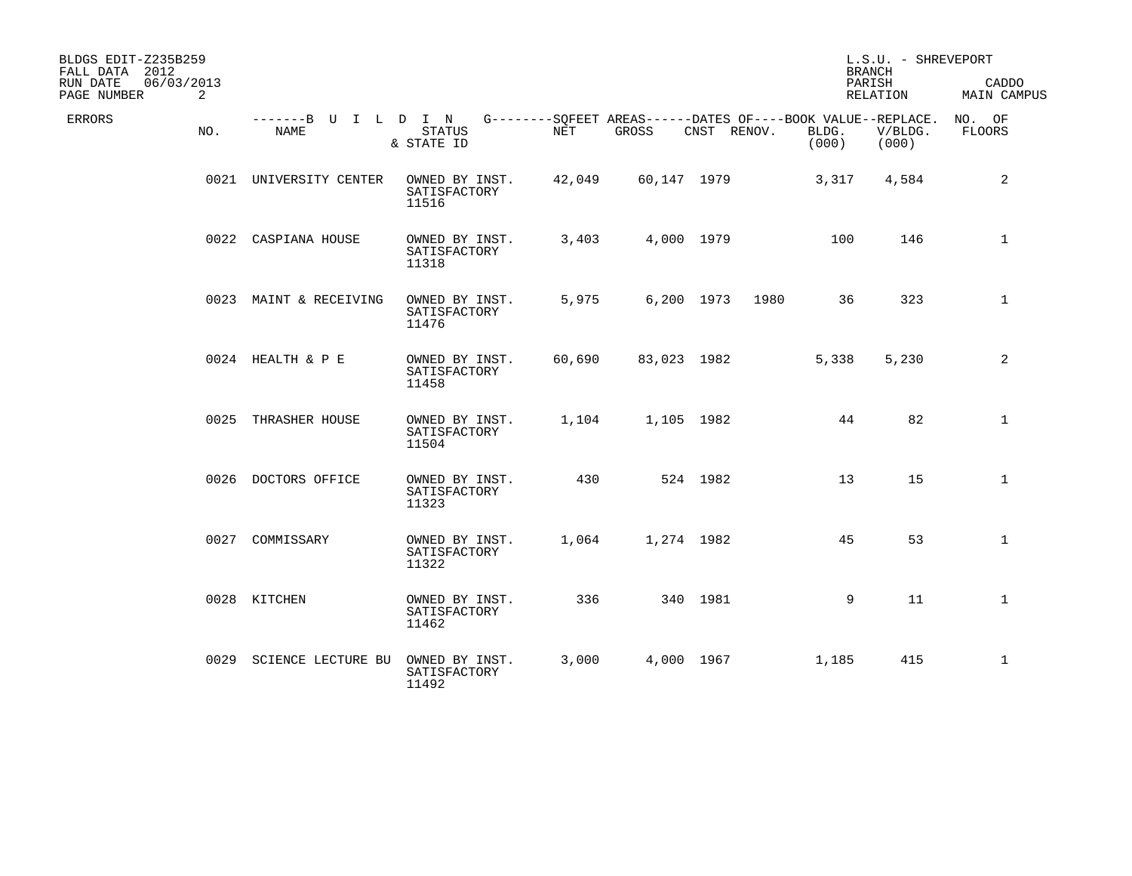| BLDGS EDIT-Z235B259<br>FALL DATA 2012<br>06/03/2013<br>RUN DATE |                                     |                                         |            |                                                                   |             |      |                | L.S.U. - SHREVEPORT<br><b>BRANCH</b><br>PARISH | CADDO                   |
|-----------------------------------------------------------------|-------------------------------------|-----------------------------------------|------------|-------------------------------------------------------------------|-------------|------|----------------|------------------------------------------------|-------------------------|
| PAGE NUMBER<br>2                                                |                                     |                                         |            |                                                                   |             |      |                | RELATION                                       | <b>MAIN CAMPUS</b>      |
| <b>ERRORS</b><br>NO.                                            | -------B U I L D I N<br><b>NAME</b> | <b>STATUS</b><br>& STATE ID             | <b>NET</b> | $G------SOFEET AREAS----DATES OF---BOOK VALUE--REPLACE.$<br>GROSS | CNST RENOV. |      | BLDG.<br>(000) | V/BLDG.<br>(000)                               | NO. OF<br><b>FLOORS</b> |
|                                                                 | 0021 UNIVERSITY CENTER              | OWNED BY INST.<br>SATISFACTORY<br>11516 | 42,049     | 60,147 1979                                                       |             |      | 3,317          | 4,584                                          | $\overline{c}$          |
|                                                                 | 0022 CASPIANA HOUSE                 | OWNED BY INST.<br>SATISFACTORY<br>11318 | 3,403      | 4,000 1979                                                        |             |      | 100            | 146                                            | $\mathbf 1$             |
|                                                                 | 0023 MAINT & RECEIVING              | OWNED BY INST.<br>SATISFACTORY<br>11476 | 5,975      | 6,200 1973                                                        |             | 1980 | 36             | 323                                            | $\mathbf{1}$            |
|                                                                 | 0024 HEALTH & P E                   | OWNED BY INST.<br>SATISFACTORY<br>11458 | 60,690     | 83,023 1982                                                       |             |      | 5,338          | 5,230                                          | 2                       |
|                                                                 | 0025 THRASHER HOUSE                 | OWNED BY INST.<br>SATISFACTORY<br>11504 | 1,104      | 1,105 1982                                                        |             |      | 44             | 82                                             | $\mathbf{1}$            |
|                                                                 | 0026 DOCTORS OFFICE                 | OWNED BY INST.<br>SATISFACTORY<br>11323 | 430        |                                                                   | 524 1982    |      | 13             | 15                                             | $\mathbf{1}$            |
|                                                                 | 0027 COMMISSARY                     | OWNED BY INST.<br>SATISFACTORY<br>11322 | 1,064      | 1,274 1982                                                        |             |      | 45             | 53                                             | $\mathbf{1}$            |
|                                                                 | 0028 KITCHEN                        | OWNED BY INST.<br>SATISFACTORY<br>11462 | 336        |                                                                   | 340 1981    |      | 9              | 11                                             | $\mathbf{1}$            |
|                                                                 | 0029 SCIENCE LECTURE BU             | OWNED BY INST.<br>SATISFACTORY<br>11492 | 3,000      | 4,000 1967                                                        |             |      | 1,185          | 415                                            | $\mathbf{1}$            |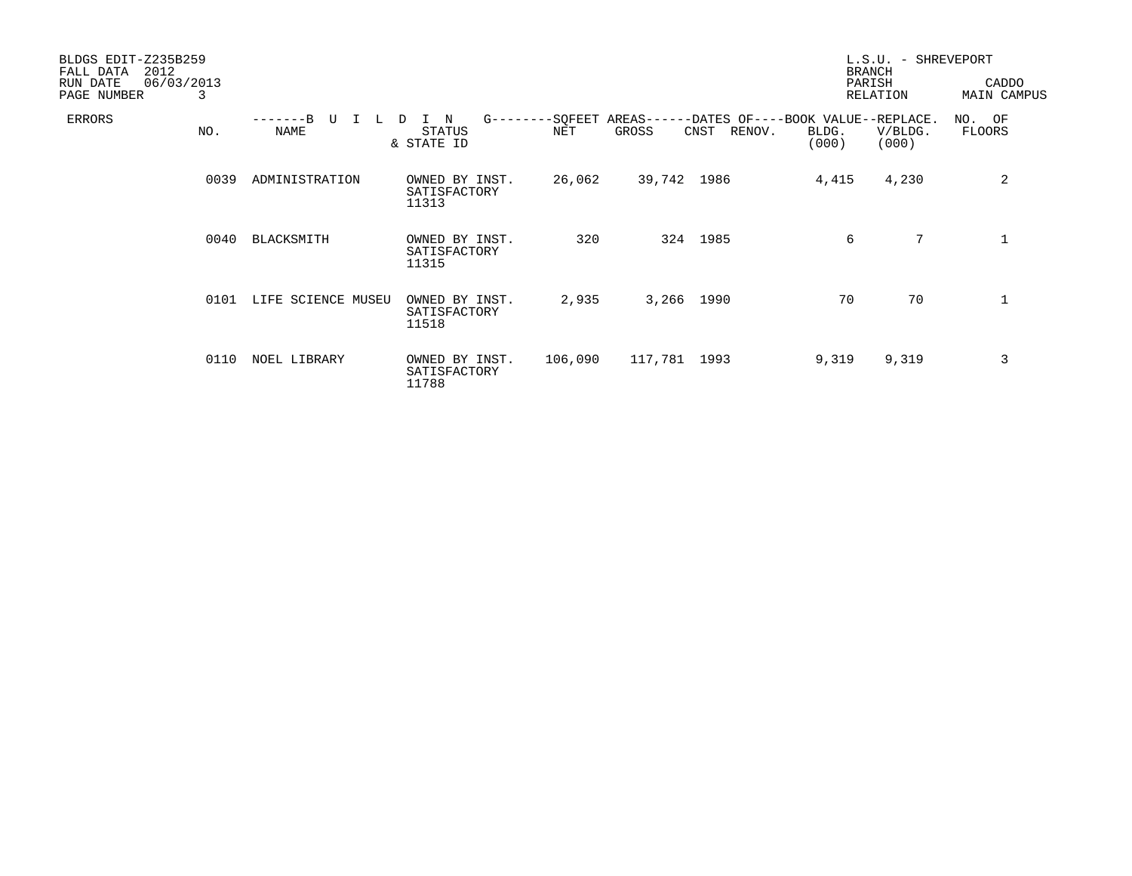| BLDGS EDIT-Z235B259<br>2012<br>FALL DATA<br>RUN DATE | 06/03/2013 |                    |                                         |         |              |                |                                                                               | L.S.U. - SHREVEPORT<br><b>BRANCH</b><br>PARISH | CADDO                   |
|------------------------------------------------------|------------|--------------------|-----------------------------------------|---------|--------------|----------------|-------------------------------------------------------------------------------|------------------------------------------------|-------------------------|
| PAGE NUMBER                                          | 3          |                    |                                         |         |              |                |                                                                               | RELATION                                       | <b>MAIN CAMPUS</b>      |
| ERRORS                                               | NO.        | TT<br><b>NAME</b>  | N<br>D<br>STATUS<br>& STATE ID          | NET     | GROSS        | CNST<br>RENOV. | G--------SQFEET AREAS------DATES OF----BOOK VALUE--REPLACE.<br>BLDG.<br>(000) | V/BLDG.<br>(000)                               | NO. OF<br><b>FLOORS</b> |
|                                                      | 0039       | ADMINISTRATION     | OWNED BY INST.<br>SATISFACTORY<br>11313 | 26,062  | 39,742 1986  |                | 4,415                                                                         | 4,230                                          | 2                       |
|                                                      | 0040       | BLACKSMITH         | OWNED BY INST.<br>SATISFACTORY<br>11315 | 320     |              | 324 1985       | 6                                                                             | 7                                              | $\mathbf 1$             |
|                                                      | 0101       | LIFE SCIENCE MUSEU | OWNED BY INST.<br>SATISFACTORY<br>11518 | 2,935   | 3,266 1990   |                | 70                                                                            | 70                                             | $\mathbf 1$             |
|                                                      | 0110       | NOEL LIBRARY       | OWNED BY INST.<br>SATISFACTORY<br>11788 | 106,090 | 117,781 1993 |                | 9,319                                                                         | 9,319                                          | 3                       |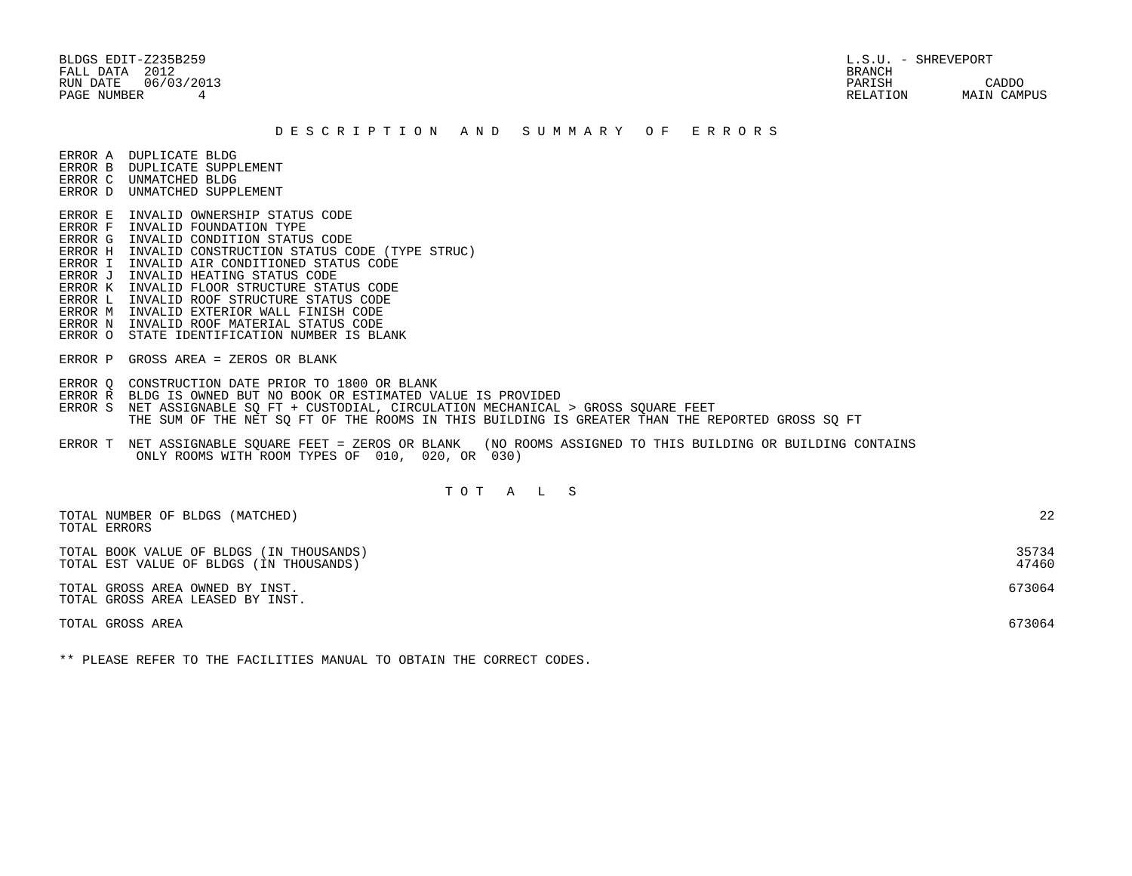BLDGS EDIT-Z235B259 L.S.U. - SHREVEPORT FALL DATA 2012 BRANCH

 RUN DATE 06/03/2013 PARISH CADDO PAGE NUMBER 4 RELATION MAIN CAMPUS

## D E S C R I P T I O N A N D S U M M A R Y O F E R R O R S

ERROR A DUPLICATE BLDG

- ERROR B DUPLICATE SUPPLEMENT
- ERROR C UNMATCHED BLDG ERROR D UNMATCHED SUPPLEMENT
- ERROR E INVALID OWNERSHIP STATUS CODE
- ERROR F INVALID FOUNDATION TYPE
- ERROR G INVALID CONDITION STATUS CODE
- ERROR H INVALID CONSTRUCTION STATUS CODE (TYPE STRUC)
- ERROR I INVALID AIR CONDITIONED STATUS CODE
- ERROR J INVALID HEATING STATUS CODE
- ERROR K INVALID FLOOR STRUCTURE STATUS CODE
- ERROR L INVALID ROOF STRUCTURE STATUS CODE
- ERROR M INVALID EXTERIOR WALL FINISH CODE
- ERROR N INVALID ROOF MATERIAL STATUS CODE
- ERROR O STATE IDENTIFICATION NUMBER IS BLANK
- ERROR P GROSS AREA = ZEROS OR BLANK
- ERROR Q CONSTRUCTION DATE PRIOR TO 1800 OR BLANK
- ERROR R BLDG IS OWNED BUT NO BOOK OR ESTIMATED VALUE IS PROVIDED
- ERROR S NET ASSIGNABLE SO FT + CUSTODIAL, CIRCULATION MECHANICAL > GROSS SOUARE FEET THE SUM OF THE NET SQ FT OF THE ROOMS IN THIS BUILDING IS GREATER THAN THE REPORTED GROSS SQ FT
- ERROR T NET ASSIGNABLE SQUARE FEET = ZEROS OR BLANK (NO ROOMS ASSIGNED TO THIS BUILDING OR BUILDING CONTAINS ONLY ROOMS WITH ROOM TYPES OF 010, 020, OR 030)

## T O T A L S

| TOTAL NUMBER OF BLDGS (MATCHED)<br>TOTAL ERRORS                                     | 22             |
|-------------------------------------------------------------------------------------|----------------|
| TOTAL BOOK VALUE OF BLDGS (IN THOUSANDS)<br>TOTAL EST VALUE OF BLDGS (IN THOUSANDS) | 35734<br>47460 |
| TOTAL GROSS AREA OWNED BY INST.<br>TOTAL GROSS AREA LEASED BY INST.                 | 673064         |
| TOTAL GROSS AREA                                                                    | 673064         |

\*\* PLEASE REFER TO THE FACILITIES MANUAL TO OBTAIN THE CORRECT CODES.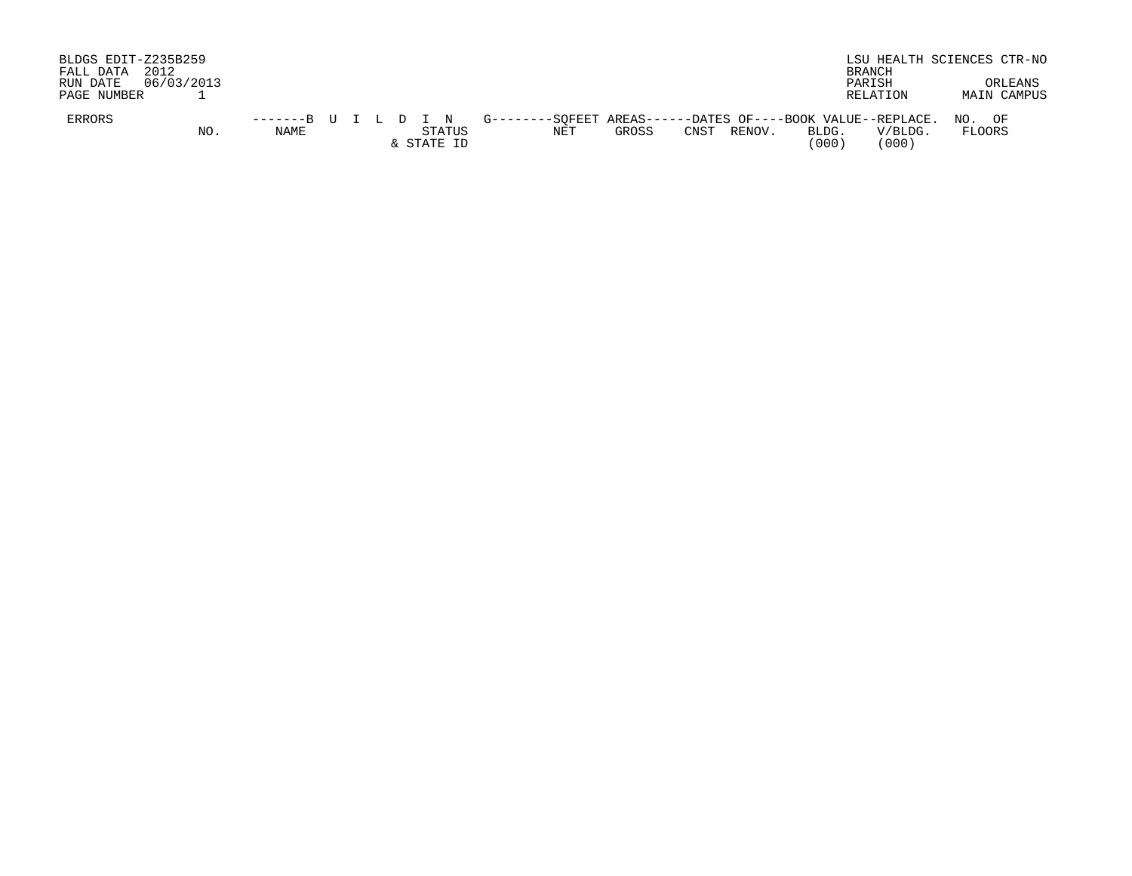| BLDGS EDIT-Z235B259<br>FALL DATA<br>RUN DATE<br>PAGE NUMBER | 2012<br>06/03/2013 |      |  |  |                      |  |     |       |      |        |                | LSU HEALTH SCIENCES CTR-NO<br>BRANCH<br>PARISH<br><b>RELATION</b>                                           | ORLEANS<br>MAIN CAMPUS |
|-------------------------------------------------------------|--------------------|------|--|--|----------------------|--|-----|-------|------|--------|----------------|-------------------------------------------------------------------------------------------------------------|------------------------|
| <b>ERRORS</b>                                               | NO.                | NAME |  |  | STATUS<br>& STATE ID |  | NET | GROSS | CNST | RENOV. | BLDG.<br>(000) | -------B U I L D I N G--------SOFEET AREAS------DATES OF----BOOK VALUE--REPLACE. NO. OF<br>V/BLDG.<br>'000) | <b>FLOORS</b>          |